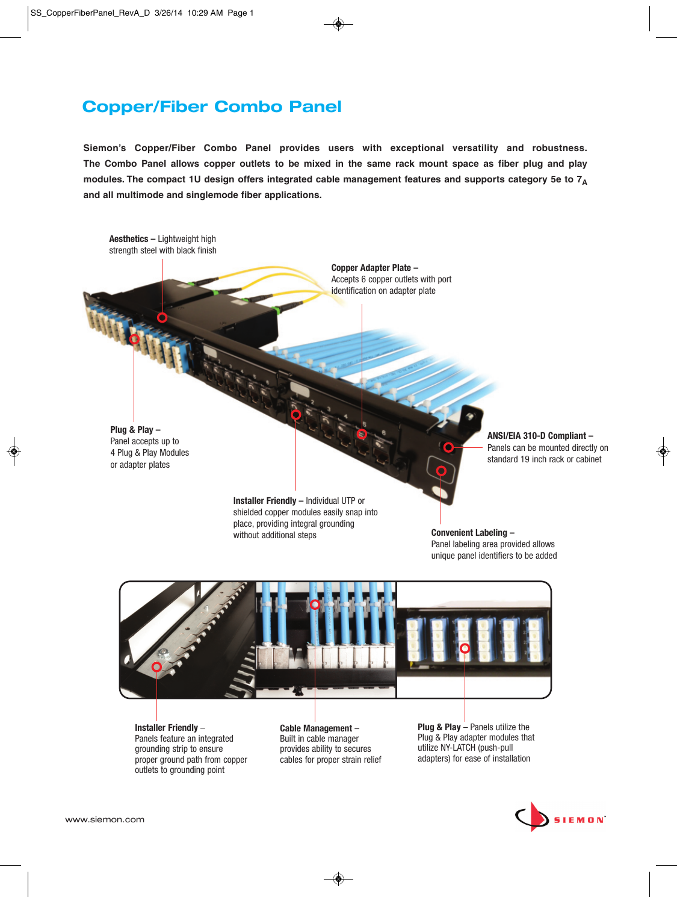## **Copper/Fiber Combo Panel**

**Siemon's Copper/Fiber Combo Panel provides users with exceptional versatility and robustness. The Combo Panel allows copper outlets to be mixed in the same rack mount space as fiber plug and play modules. The compact 1U design offers integrated cable management features and supports category 5e to 7A and all multimode and singlemode fiber applications.**



**Installer Friendly** – Panels feature an integrated grounding strip to ensure proper ground path from copper outlets to grounding point

**Cable Management** – Built in cable manager provides ability to secures cables for proper strain relief **Plug & Play** – Panels utilize the Plug & Play adapter modules that utilize NY-LATCH (push-pull adapters) for ease of installation